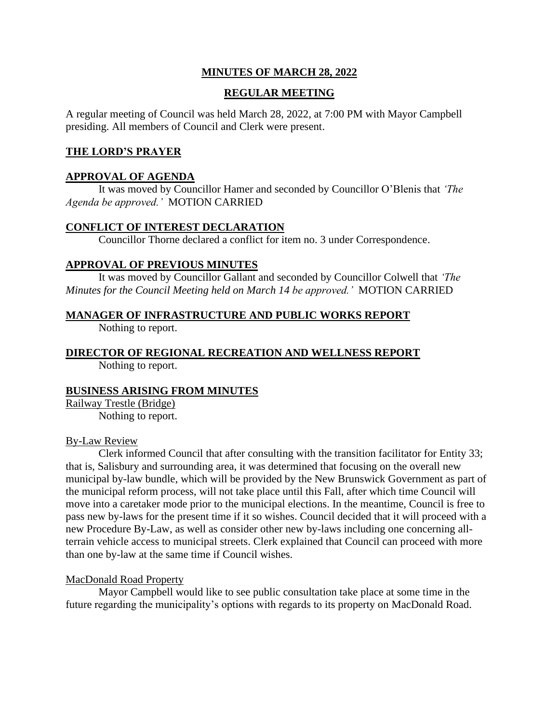## **MINUTES OF MARCH 28, 2022**

### **REGULAR MEETING**

A regular meeting of Council was held March 28, 2022, at 7:00 PM with Mayor Campbell presiding. All members of Council and Clerk were present.

### **THE LORD'S PRAYER**

#### **APPROVAL OF AGENDA**

It was moved by Councillor Hamer and seconded by Councillor O'Blenis that *'The Agenda be approved.'* MOTION CARRIED

#### **CONFLICT OF INTEREST DECLARATION**

Councillor Thorne declared a conflict for item no. 3 under Correspondence.

### **APPROVAL OF PREVIOUS MINUTES**

It was moved by Councillor Gallant and seconded by Councillor Colwell that *'The Minutes for the Council Meeting held on March 14 be approved.'* MOTION CARRIED

### **MANAGER OF INFRASTRUCTURE AND PUBLIC WORKS REPORT**

Nothing to report.

**DIRECTOR OF REGIONAL RECREATION AND WELLNESS REPORT** Nothing to report.

### **BUSINESS ARISING FROM MINUTES**

Railway Trestle (Bridge) Nothing to report.

#### By-Law Review

Clerk informed Council that after consulting with the transition facilitator for Entity 33; that is, Salisbury and surrounding area, it was determined that focusing on the overall new municipal by-law bundle, which will be provided by the New Brunswick Government as part of the municipal reform process, will not take place until this Fall, after which time Council will move into a caretaker mode prior to the municipal elections. In the meantime, Council is free to pass new by-laws for the present time if it so wishes. Council decided that it will proceed with a new Procedure By-Law, as well as consider other new by-laws including one concerning allterrain vehicle access to municipal streets. Clerk explained that Council can proceed with more than one by-law at the same time if Council wishes.

### MacDonald Road Property

Mayor Campbell would like to see public consultation take place at some time in the future regarding the municipality's options with regards to its property on MacDonald Road.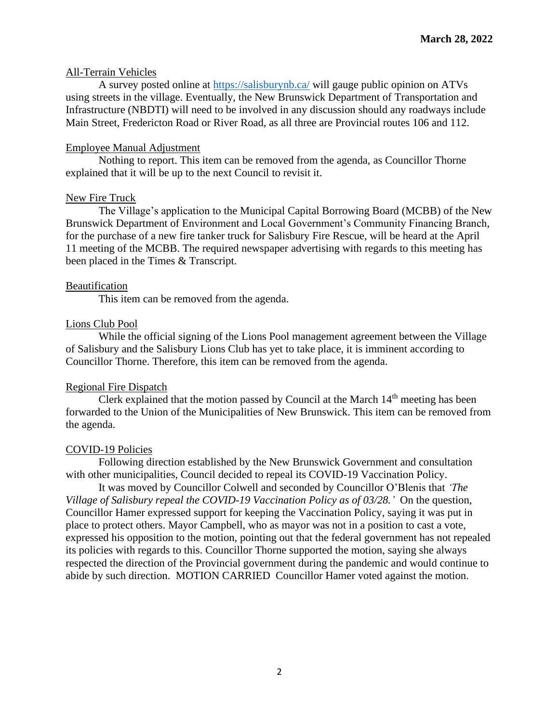#### All-Terrain Vehicles

A survey posted online at<https://salisburynb.ca/> will gauge public opinion on ATVs using streets in the village. Eventually, the New Brunswick Department of Transportation and Infrastructure (NBDTI) will need to be involved in any discussion should any roadways include Main Street, Fredericton Road or River Road, as all three are Provincial routes 106 and 112.

#### Employee Manual Adjustment

Nothing to report. This item can be removed from the agenda, as Councillor Thorne explained that it will be up to the next Council to revisit it.

#### New Fire Truck

The Village's application to the Municipal Capital Borrowing Board (MCBB) of the New Brunswick Department of Environment and Local Government's Community Financing Branch, for the purchase of a new fire tanker truck for Salisbury Fire Rescue, will be heard at the April 11 meeting of the MCBB. The required newspaper advertising with regards to this meeting has been placed in the Times & Transcript.

#### Beautification

This item can be removed from the agenda.

#### Lions Club Pool

While the official signing of the Lions Pool management agreement between the Village of Salisbury and the Salisbury Lions Club has yet to take place, it is imminent according to Councillor Thorne. Therefore, this item can be removed from the agenda.

### Regional Fire Dispatch

Clerk explained that the motion passed by Council at the March 14<sup>th</sup> meeting has been forwarded to the Union of the Municipalities of New Brunswick. This item can be removed from the agenda.

#### COVID-19 Policies

Following direction established by the New Brunswick Government and consultation with other municipalities, Council decided to repeal its COVID-19 Vaccination Policy.

It was moved by Councillor Colwell and seconded by Councillor O'Blenis that *'The Village of Salisbury repeal the COVID-19 Vaccination Policy as of 03/28.'* On the question, Councillor Hamer expressed support for keeping the Vaccination Policy, saying it was put in place to protect others. Mayor Campbell, who as mayor was not in a position to cast a vote, expressed his opposition to the motion, pointing out that the federal government has not repealed its policies with regards to this. Councillor Thorne supported the motion, saying she always respected the direction of the Provincial government during the pandemic and would continue to abide by such direction. MOTION CARRIED Councillor Hamer voted against the motion.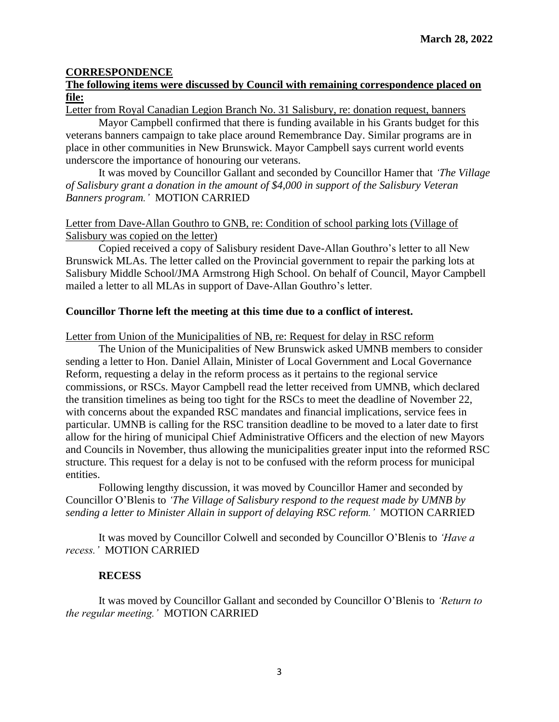### **CORRESPONDENCE**

### **The following items were discussed by Council with remaining correspondence placed on file:**

Letter from Royal Canadian Legion Branch No. 31 Salisbury, re: donation request, banners

Mayor Campbell confirmed that there is funding available in his Grants budget for this veterans banners campaign to take place around Remembrance Day. Similar programs are in place in other communities in New Brunswick. Mayor Campbell says current world events underscore the importance of honouring our veterans.

It was moved by Councillor Gallant and seconded by Councillor Hamer that *'The Village of Salisbury grant a donation in the amount of \$4,000 in support of the Salisbury Veteran Banners program.'* MOTION CARRIED

## Letter from Dave-Allan Gouthro to GNB, re: Condition of school parking lots (Village of Salisbury was copied on the letter)

Copied received a copy of Salisbury resident Dave-Allan Gouthro's letter to all New Brunswick MLAs. The letter called on the Provincial government to repair the parking lots at Salisbury Middle School/JMA Armstrong High School. On behalf of Council, Mayor Campbell mailed a letter to all MLAs in support of Dave-Allan Gouthro's letter.

### **Councillor Thorne left the meeting at this time due to a conflict of interest.**

Letter from Union of the Municipalities of NB, re: Request for delay in RSC reform

The Union of the Municipalities of New Brunswick asked UMNB members to consider sending a letter to Hon. Daniel Allain, Minister of Local Government and Local Governance Reform, requesting a delay in the reform process as it pertains to the regional service commissions, or RSCs. Mayor Campbell read the letter received from UMNB, which declared the transition timelines as being too tight for the RSCs to meet the deadline of November 22, with concerns about the expanded RSC mandates and financial implications, service fees in particular. UMNB is calling for the RSC transition deadline to be moved to a later date to first allow for the hiring of municipal Chief Administrative Officers and the election of new Mayors and Councils in November, thus allowing the municipalities greater input into the reformed RSC structure. This request for a delay is not to be confused with the reform process for municipal entities.

Following lengthy discussion, it was moved by Councillor Hamer and seconded by Councillor O'Blenis to *'The Village of Salisbury respond to the request made by UMNB by sending a letter to Minister Allain in support of delaying RSC reform.'* MOTION CARRIED

It was moved by Councillor Colwell and seconded by Councillor O'Blenis to *'Have a recess.'* MOTION CARRIED

### **RECESS**

It was moved by Councillor Gallant and seconded by Councillor O'Blenis to *'Return to the regular meeting.'* MOTION CARRIED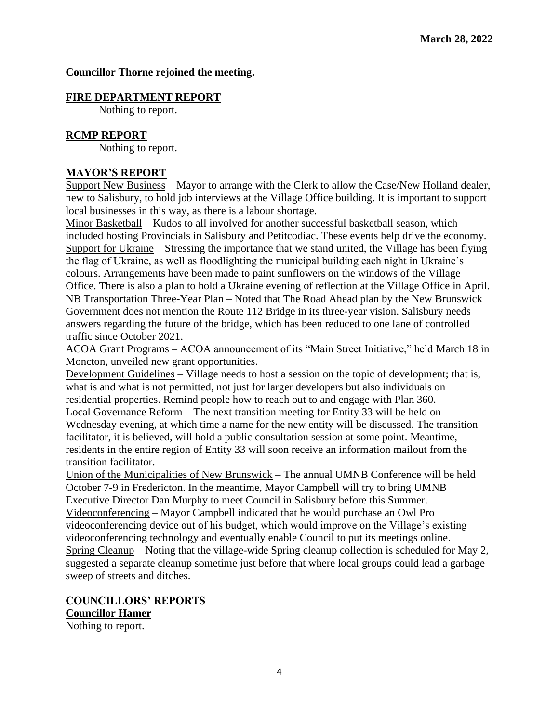### **Councillor Thorne rejoined the meeting.**

### **FIRE DEPARTMENT REPORT**

Nothing to report.

## **RCMP REPORT**

Nothing to report.

## **MAYOR'S REPORT**

Support New Business – Mayor to arrange with the Clerk to allow the Case/New Holland dealer, new to Salisbury, to hold job interviews at the Village Office building. It is important to support local businesses in this way, as there is a labour shortage.

Minor Basketball – Kudos to all involved for another successful basketball season, which included hosting Provincials in Salisbury and Petitcodiac. These events help drive the economy. Support for Ukraine – Stressing the importance that we stand united, the Village has been flying the flag of Ukraine, as well as floodlighting the municipal building each night in Ukraine's colours. Arrangements have been made to paint sunflowers on the windows of the Village Office. There is also a plan to hold a Ukraine evening of reflection at the Village Office in April. NB Transportation Three-Year Plan – Noted that The Road Ahead plan by the New Brunswick Government does not mention the Route 112 Bridge in its three-year vision. Salisbury needs answers regarding the future of the bridge, which has been reduced to one lane of controlled traffic since October 2021.

ACOA Grant Programs – ACOA announcement of its "Main Street Initiative," held March 18 in Moncton, unveiled new grant opportunities.

Development Guidelines – Village needs to host a session on the topic of development; that is, what is and what is not permitted, not just for larger developers but also individuals on residential properties. Remind people how to reach out to and engage with Plan 360. Local Governance Reform – The next transition meeting for Entity 33 will be held on Wednesday evening, at which time a name for the new entity will be discussed. The transition facilitator, it is believed, will hold a public consultation session at some point. Meantime, residents in the entire region of Entity 33 will soon receive an information mailout from the transition facilitator.

Union of the Municipalities of New Brunswick – The annual UMNB Conference will be held October 7-9 in Fredericton. In the meantime, Mayor Campbell will try to bring UMNB Executive Director Dan Murphy to meet Council in Salisbury before this Summer. Videoconferencing – Mayor Campbell indicated that he would purchase an Owl Pro videoconferencing device out of his budget, which would improve on the Village's existing videoconferencing technology and eventually enable Council to put its meetings online. Spring Cleanup – Noting that the village-wide Spring cleanup collection is scheduled for May 2, suggested a separate cleanup sometime just before that where local groups could lead a garbage sweep of streets and ditches.

#### **COUNCILLORS' REPORTS Councillor Hamer**

Nothing to report.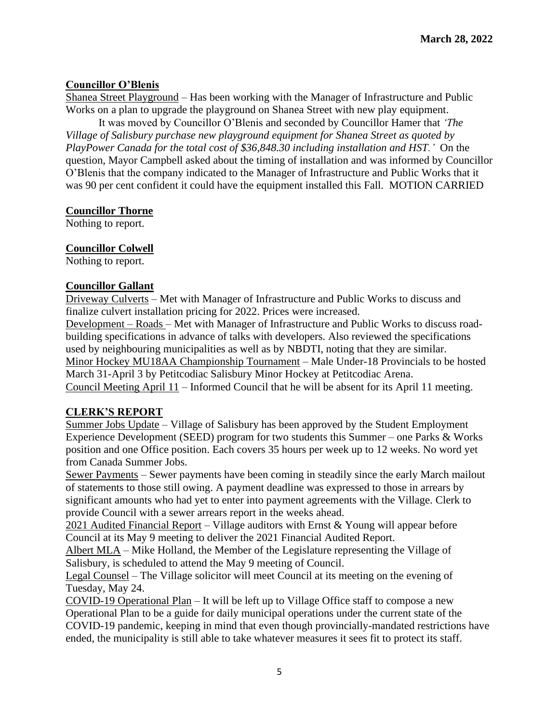## **Councillor O'Blenis**

Shanea Street Playground – Has been working with the Manager of Infrastructure and Public Works on a plan to upgrade the playground on Shanea Street with new play equipment.

It was moved by Councillor O'Blenis and seconded by Councillor Hamer that *'The Village of Salisbury purchase new playground equipment for Shanea Street as quoted by PlayPower Canada for the total cost of \$36,848.30 including installation and HST.'* On the question, Mayor Campbell asked about the timing of installation and was informed by Councillor O'Blenis that the company indicated to the Manager of Infrastructure and Public Works that it was 90 per cent confident it could have the equipment installed this Fall.MOTION CARRIED

## **Councillor Thorne**

Nothing to report.

### **Councillor Colwell**

Nothing to report.

### **Councillor Gallant**

Driveway Culverts – Met with Manager of Infrastructure and Public Works to discuss and finalize culvert installation pricing for 2022. Prices were increased.

Development – Roads – Met with Manager of Infrastructure and Public Works to discuss roadbuilding specifications in advance of talks with developers. Also reviewed the specifications used by neighbouring municipalities as well as by NBDTI, noting that they are similar. Minor Hockey MU18AA Championship Tournament – Male Under-18 Provincials to be hosted March 31-April 3 by Petitcodiac Salisbury Minor Hockey at Petitcodiac Arena. Council Meeting April 11 – Informed Council that he will be absent for its April 11 meeting.

## **CLERK'S REPORT**

Summer Jobs Update – Village of Salisbury has been approved by the Student Employment Experience Development (SEED) program for two students this Summer – one Parks & Works position and one Office position. Each covers 35 hours per week up to 12 weeks. No word yet from Canada Summer Jobs.

Sewer Payments – Sewer payments have been coming in steadily since the early March mailout of statements to those still owing. A payment deadline was expressed to those in arrears by significant amounts who had yet to enter into payment agreements with the Village. Clerk to provide Council with a sewer arrears report in the weeks ahead.

2021 Audited Financial Report – Village auditors with Ernst & Young will appear before Council at its May 9 meeting to deliver the 2021 Financial Audited Report.

Albert MLA – Mike Holland, the Member of the Legislature representing the Village of Salisbury, is scheduled to attend the May 9 meeting of Council.

Legal Counsel – The Village solicitor will meet Council at its meeting on the evening of Tuesday, May 24.

COVID-19 Operational Plan – It will be left up to Village Office staff to compose a new Operational Plan to be a guide for daily municipal operations under the current state of the COVID-19 pandemic, keeping in mind that even though provincially-mandated restrictions have ended, the municipality is still able to take whatever measures it sees fit to protect its staff.